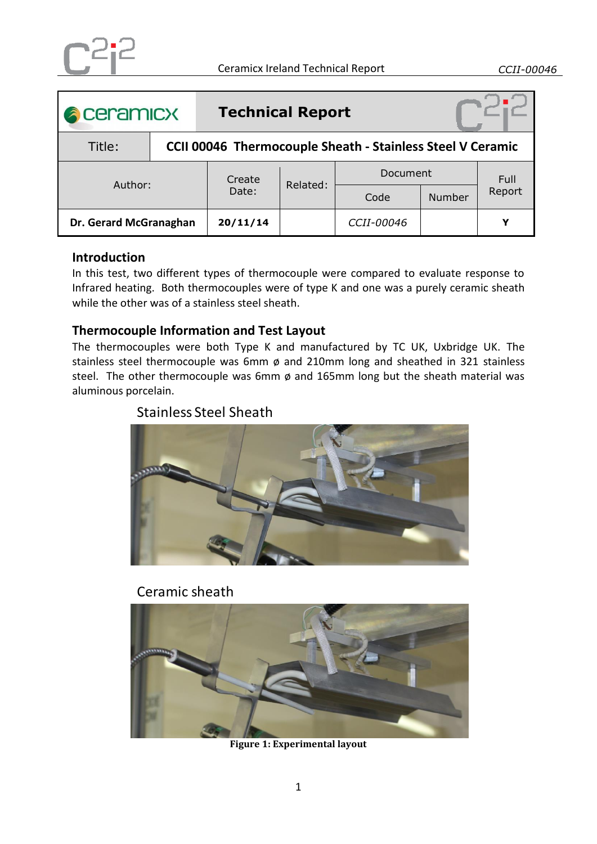| <b>A</b> ceramicx      |                                                                   | <b>Technical Report</b> |          |            |               |        |
|------------------------|-------------------------------------------------------------------|-------------------------|----------|------------|---------------|--------|
| Title:                 | <b>CCII 00046 Thermocouple Sheath - Stainless Steel V Ceramic</b> |                         |          |            |               |        |
| Author:                |                                                                   | Create<br>Date:         | Related: | Document   |               | Full   |
|                        |                                                                   |                         |          | Code       | <b>Number</b> | Report |
| Dr. Gerard McGranaghan |                                                                   | 20/11/14                |          | CCII-00046 |               | v      |

### **Introduction**

In this test, two different types of thermocouple were compared to evaluate response to Infrared heating. Both thermocouples were of type K and one was a purely ceramic sheath while the other was of a stainless steel sheath.

#### **Thermocouple Information and Test Layout**

The thermocouples were both Type K and manufactured by TC UK, Uxbridge UK. The stainless steel thermocouple was 6mm ø and 210mm long and sheathed in 321 stainless steel. The other thermocouple was 6mm  $\varnothing$  and 165mm long but the sheath material was aluminous porcelain.

# Stainless Steel Sheath



# Ceramic sheath

<span id="page-0-0"></span>

**Figure 1: Experimental layout**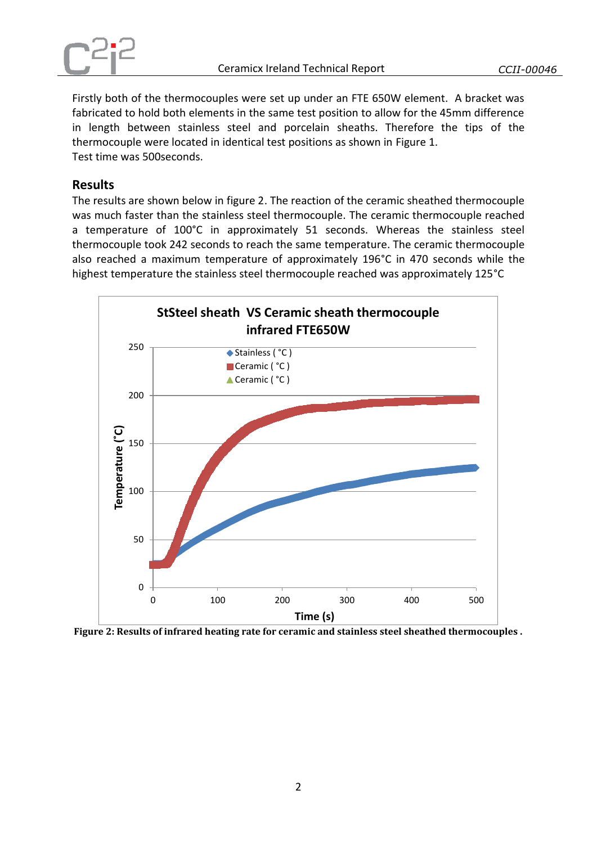

Firstly both of the thermocouples were set up under an FTE 650W element. A bracket was fabricated to hold both elements in the same test position to allow for the 45mm difference in length between stainless steel and porcelain sheaths. Therefore the tips of the thermocouple were located in identical test positions as shown in [Figure 1.](#page-0-0) Test time was 500seconds.

### **Results**

The results are shown below in figure 2. The reaction of the ceramic sheathed thermocouple was much faster than the stainless steel thermocouple. The ceramic thermocouple reached a temperature of 100°C in approximately 51 seconds. Whereas the stainless steel thermocouple took 242 seconds to reach the same temperature. The ceramic thermocouple also reached a maximum temperature of approximately 196°C in 470 seconds while the highest temperature the stainless steel thermocouple reached was approximately 125°C



**Figure 2: Results of infrared heating rate for ceramic and stainless steel sheathed thermocouples .**